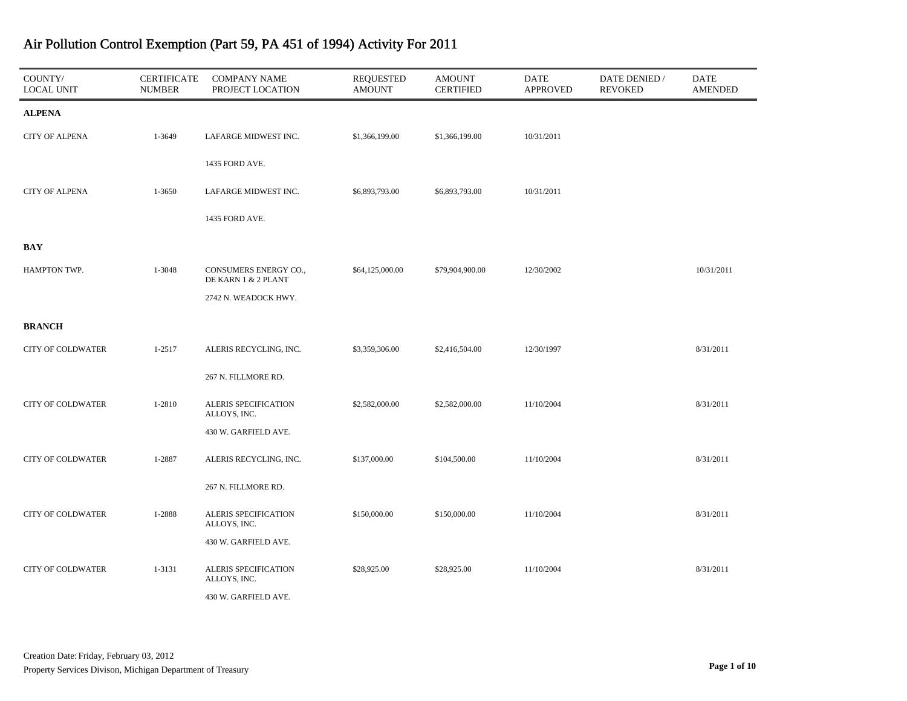| COUNTY/<br><b>LOCAL UNIT</b> | <b>CERTIFICATE</b><br><b>NUMBER</b> | <b>COMPANY NAME</b><br>PROJECT LOCATION      | <b>REQUESTED</b><br><b>AMOUNT</b> | <b>AMOUNT</b><br><b>CERTIFIED</b> | DATE<br><b>APPROVED</b> | DATE DENIED /<br><b>REVOKED</b> | <b>DATE</b><br><b>AMENDED</b> |
|------------------------------|-------------------------------------|----------------------------------------------|-----------------------------------|-----------------------------------|-------------------------|---------------------------------|-------------------------------|
| <b>ALPENA</b>                |                                     |                                              |                                   |                                   |                         |                                 |                               |
| <b>CITY OF ALPENA</b>        | 1-3649                              | LAFARGE MIDWEST INC.                         | \$1,366,199.00                    | \$1,366,199.00                    | 10/31/2011              |                                 |                               |
|                              |                                     | 1435 FORD AVE.                               |                                   |                                   |                         |                                 |                               |
| <b>CITY OF ALPENA</b>        | 1-3650                              | LAFARGE MIDWEST INC.                         | \$6,893,793.00                    | \$6,893,793.00                    | 10/31/2011              |                                 |                               |
|                              |                                     | 1435 FORD AVE.                               |                                   |                                   |                         |                                 |                               |
| <b>BAY</b>                   |                                     |                                              |                                   |                                   |                         |                                 |                               |
| HAMPTON TWP.                 | 1-3048                              | CONSUMERS ENERGY CO.,<br>DE KARN 1 & 2 PLANT | \$64,125,000.00                   | \$79,904,900.00                   | 12/30/2002              |                                 | 10/31/2011                    |
|                              |                                     | 2742 N. WEADOCK HWY.                         |                                   |                                   |                         |                                 |                               |
| <b>BRANCH</b>                |                                     |                                              |                                   |                                   |                         |                                 |                               |
| <b>CITY OF COLDWATER</b>     | $1 - 2517$                          | ALERIS RECYCLING, INC.                       | \$3,359,306.00                    | \$2,416,504.00                    | 12/30/1997              |                                 | 8/31/2011                     |
|                              |                                     | 267 N. FILLMORE RD.                          |                                   |                                   |                         |                                 |                               |
| <b>CITY OF COLDWATER</b>     | 1-2810                              | ALERIS SPECIFICATION<br>ALLOYS, INC.         | \$2,582,000.00                    | \$2,582,000.00                    | 11/10/2004              |                                 | 8/31/2011                     |
|                              |                                     | 430 W. GARFIELD AVE.                         |                                   |                                   |                         |                                 |                               |
| <b>CITY OF COLDWATER</b>     | 1-2887                              | ALERIS RECYCLING, INC.                       | \$137,000.00                      | \$104,500.00                      | 11/10/2004              |                                 | 8/31/2011                     |
|                              |                                     | 267 N. FILLMORE RD.                          |                                   |                                   |                         |                                 |                               |
| <b>CITY OF COLDWATER</b>     | 1-2888                              | ALERIS SPECIFICATION<br>ALLOYS, INC.         | \$150,000.00                      | \$150,000.00                      | 11/10/2004              |                                 | 8/31/2011                     |
|                              |                                     | 430 W. GARFIELD AVE.                         |                                   |                                   |                         |                                 |                               |
| <b>CITY OF COLDWATER</b>     | 1-3131                              | ALERIS SPECIFICATION<br>ALLOYS, INC.         | \$28,925.00                       | \$28,925.00                       | 11/10/2004              |                                 | 8/31/2011                     |
|                              |                                     | 430 W. GARFIELD AVE.                         |                                   |                                   |                         |                                 |                               |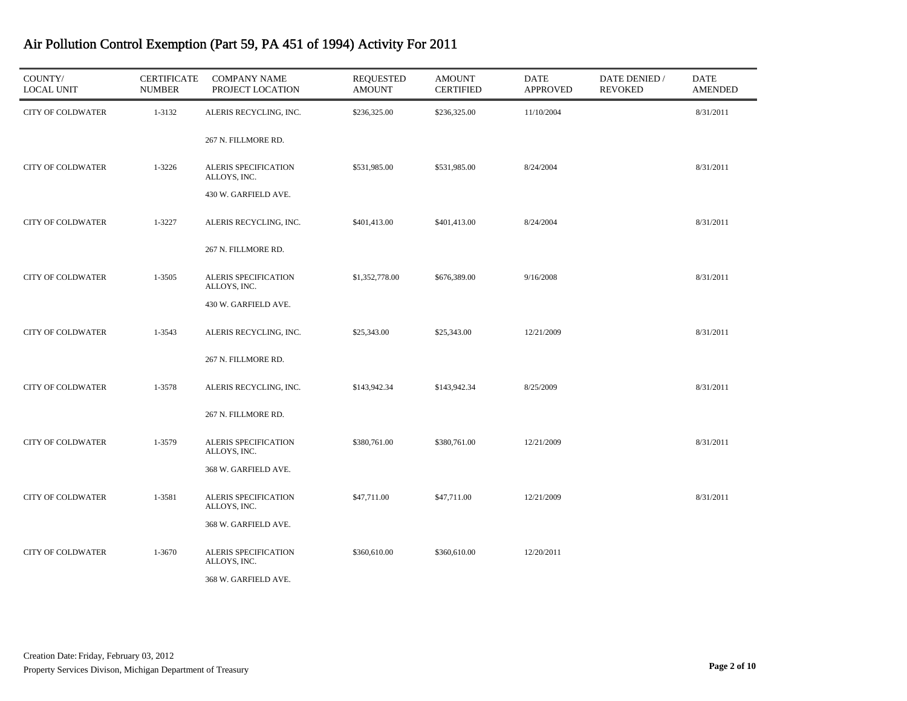| COUNTY/<br><b>LOCAL UNIT</b> | <b>CERTIFICATE</b><br><b>NUMBER</b> | <b>COMPANY NAME</b><br>PROJECT LOCATION | <b>REQUESTED</b><br><b>AMOUNT</b> | <b>AMOUNT</b><br><b>CERTIFIED</b> | <b>DATE</b><br><b>APPROVED</b> | DATE DENIED /<br><b>REVOKED</b> | <b>DATE</b><br><b>AMENDED</b> |
|------------------------------|-------------------------------------|-----------------------------------------|-----------------------------------|-----------------------------------|--------------------------------|---------------------------------|-------------------------------|
| <b>CITY OF COLDWATER</b>     | 1-3132                              | ALERIS RECYCLING, INC.                  | \$236,325.00                      | \$236,325.00                      | 11/10/2004                     |                                 | 8/31/2011                     |
|                              |                                     | 267 N. FILLMORE RD.                     |                                   |                                   |                                |                                 |                               |
| <b>CITY OF COLDWATER</b>     | 1-3226                              | ALERIS SPECIFICATION<br>ALLOYS, INC.    | \$531,985.00                      | \$531,985.00                      | 8/24/2004                      |                                 | 8/31/2011                     |
|                              |                                     | 430 W. GARFIELD AVE.                    |                                   |                                   |                                |                                 |                               |
| <b>CITY OF COLDWATER</b>     | 1-3227                              | ALERIS RECYCLING, INC.                  | \$401,413.00                      | \$401,413.00                      | 8/24/2004                      |                                 | 8/31/2011                     |
|                              |                                     | 267 N. FILLMORE RD.                     |                                   |                                   |                                |                                 |                               |
| <b>CITY OF COLDWATER</b>     | 1-3505                              | ALERIS SPECIFICATION<br>ALLOYS, INC.    | \$1,352,778.00                    | \$676,389.00                      | 9/16/2008                      |                                 | 8/31/2011                     |
|                              |                                     | 430 W. GARFIELD AVE.                    |                                   |                                   |                                |                                 |                               |
| <b>CITY OF COLDWATER</b>     | 1-3543                              | ALERIS RECYCLING, INC.                  | \$25,343.00                       | \$25,343.00                       | 12/21/2009                     |                                 | 8/31/2011                     |
|                              |                                     | 267 N. FILLMORE RD.                     |                                   |                                   |                                |                                 |                               |
| <b>CITY OF COLDWATER</b>     | 1-3578                              | ALERIS RECYCLING, INC.                  | \$143,942.34                      | \$143,942.34                      | 8/25/2009                      |                                 | 8/31/2011                     |
|                              |                                     | 267 N. FILLMORE RD.                     |                                   |                                   |                                |                                 |                               |
| <b>CITY OF COLDWATER</b>     | 1-3579                              | ALERIS SPECIFICATION<br>ALLOYS, INC.    | \$380,761.00                      | \$380,761.00                      | 12/21/2009                     |                                 | 8/31/2011                     |
|                              |                                     | 368 W. GARFIELD AVE.                    |                                   |                                   |                                |                                 |                               |
| <b>CITY OF COLDWATER</b>     | 1-3581                              | ALERIS SPECIFICATION<br>ALLOYS, INC.    | \$47,711.00                       | \$47,711.00                       | 12/21/2009                     |                                 | 8/31/2011                     |
|                              |                                     | 368 W. GARFIELD AVE.                    |                                   |                                   |                                |                                 |                               |
| <b>CITY OF COLDWATER</b>     | 1-3670                              | ALERIS SPECIFICATION<br>ALLOYS, INC.    | \$360,610.00                      | \$360,610.00                      | 12/20/2011                     |                                 |                               |
|                              |                                     | 368 W. GARFIELD AVE.                    |                                   |                                   |                                |                                 |                               |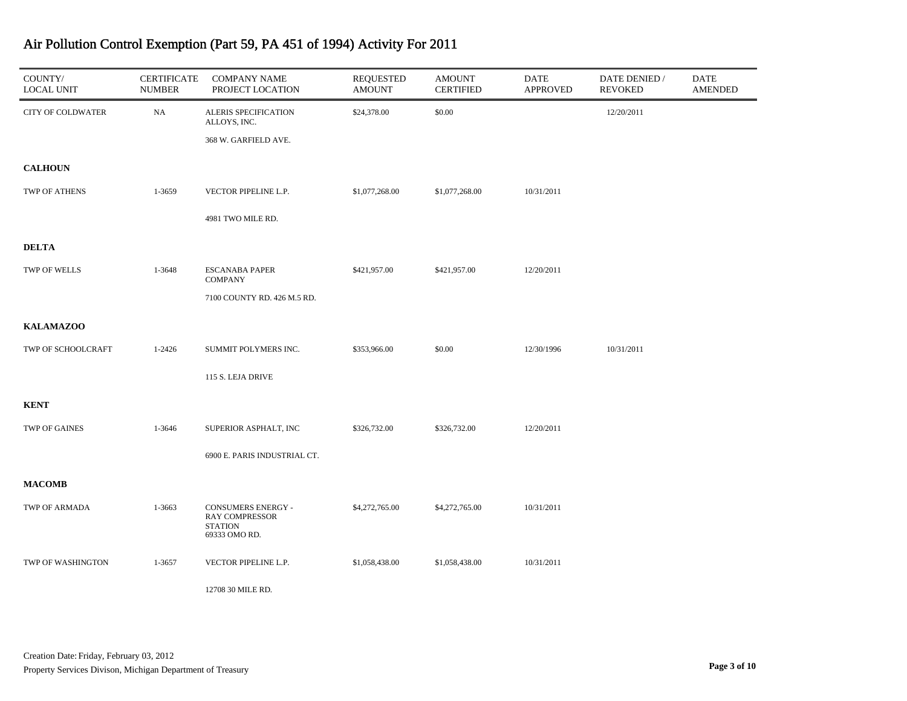| COUNTY/<br><b>LOCAL UNIT</b> | <b>CERTIFICATE</b><br><b>NUMBER</b> | <b>COMPANY NAME</b><br>PROJECT LOCATION                                        | <b>REQUESTED</b><br><b>AMOUNT</b> | <b>AMOUNT</b><br><b>CERTIFIED</b> | <b>DATE</b><br><b>APPROVED</b> | DATE DENIED /<br><b>REVOKED</b> | DATE<br><b>AMENDED</b> |
|------------------------------|-------------------------------------|--------------------------------------------------------------------------------|-----------------------------------|-----------------------------------|--------------------------------|---------------------------------|------------------------|
| <b>CITY OF COLDWATER</b>     | NA                                  | ALERIS SPECIFICATION<br>ALLOYS, INC.<br>368 W. GARFIELD AVE.                   | \$24,378.00                       | \$0.00                            |                                | 12/20/2011                      |                        |
| <b>CALHOUN</b>               |                                     |                                                                                |                                   |                                   |                                |                                 |                        |
| TWP OF ATHENS                | 1-3659                              | VECTOR PIPELINE L.P.                                                           | \$1,077,268.00                    | \$1,077,268.00                    | 10/31/2011                     |                                 |                        |
|                              |                                     | 4981 TWO MILE RD.                                                              |                                   |                                   |                                |                                 |                        |
| <b>DELTA</b>                 |                                     |                                                                                |                                   |                                   |                                |                                 |                        |
| TWP OF WELLS                 | 1-3648                              | <b>ESCANABA PAPER</b><br><b>COMPANY</b>                                        | \$421,957.00                      | \$421,957.00                      | 12/20/2011                     |                                 |                        |
|                              |                                     | 7100 COUNTY RD. 426 M.5 RD.                                                    |                                   |                                   |                                |                                 |                        |
| <b>KALAMAZOO</b>             |                                     |                                                                                |                                   |                                   |                                |                                 |                        |
| TWP OF SCHOOLCRAFT           | $1 - 2426$                          | SUMMIT POLYMERS INC.                                                           | \$353,966.00                      | \$0.00                            | 12/30/1996                     | 10/31/2011                      |                        |
|                              |                                     | 115 S. LEJA DRIVE                                                              |                                   |                                   |                                |                                 |                        |
| <b>KENT</b>                  |                                     |                                                                                |                                   |                                   |                                |                                 |                        |
| TWP OF GAINES                | 1-3646                              | SUPERIOR ASPHALT, INC                                                          | \$326,732.00                      | \$326,732.00                      | 12/20/2011                     |                                 |                        |
|                              |                                     | 6900 E. PARIS INDUSTRIAL CT.                                                   |                                   |                                   |                                |                                 |                        |
| <b>MACOMB</b>                |                                     |                                                                                |                                   |                                   |                                |                                 |                        |
| TWP OF ARMADA                | 1-3663                              | CONSUMERS ENERGY -<br><b>RAY COMPRESSOR</b><br><b>STATION</b><br>69333 OMO RD. | \$4,272,765.00                    | \$4,272,765.00                    | 10/31/2011                     |                                 |                        |
| TWP OF WASHINGTON            | 1-3657                              | VECTOR PIPELINE L.P.                                                           | \$1,058,438.00                    | \$1,058,438.00                    | 10/31/2011                     |                                 |                        |
|                              |                                     | 12708 30 MILE RD.                                                              |                                   |                                   |                                |                                 |                        |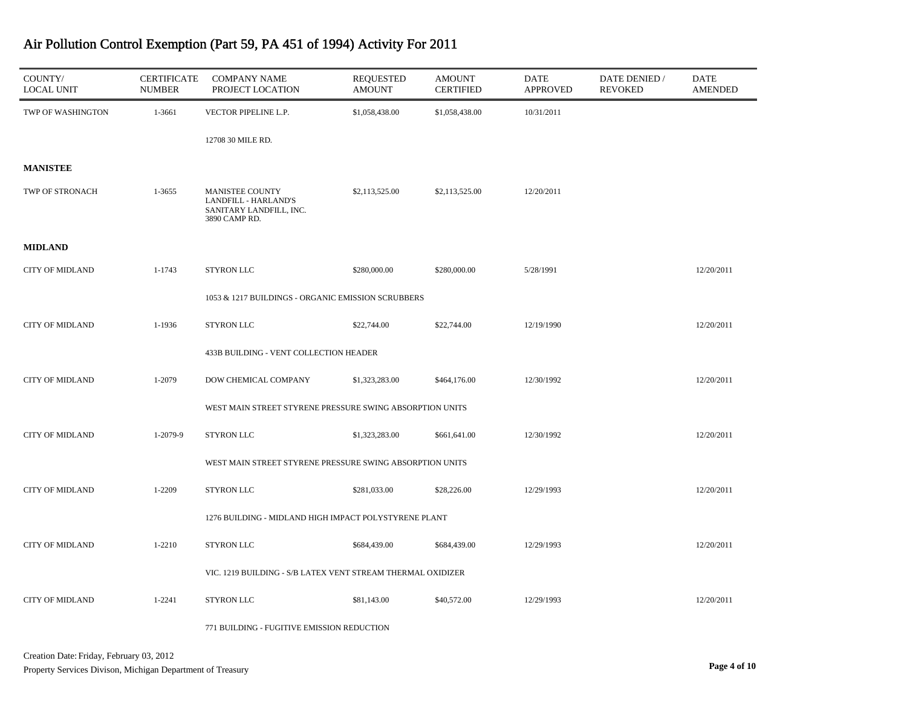| COUNTY/<br><b>LOCAL UNIT</b> | <b>CERTIFICATE</b><br><b>NUMBER</b> | <b>COMPANY NAME</b><br>PROJECT LOCATION                                             | <b>REQUESTED</b><br><b>AMOUNT</b> | <b>AMOUNT</b><br><b>CERTIFIED</b> | <b>DATE</b><br><b>APPROVED</b> | DATE DENIED /<br><b>REVOKED</b> | DATE<br><b>AMENDED</b> |
|------------------------------|-------------------------------------|-------------------------------------------------------------------------------------|-----------------------------------|-----------------------------------|--------------------------------|---------------------------------|------------------------|
| TWP OF WASHINGTON            | 1-3661                              | VECTOR PIPELINE L.P.                                                                | \$1,058,438.00                    | \$1,058,438.00                    | 10/31/2011                     |                                 |                        |
|                              |                                     | 12708 30 MILE RD.                                                                   |                                   |                                   |                                |                                 |                        |
| <b>MANISTEE</b>              |                                     |                                                                                     |                                   |                                   |                                |                                 |                        |
| TWP OF STRONACH              | 1-3655                              | MANISTEE COUNTY<br>LANDFILL - HARLAND'S<br>SANITARY LANDFILL, INC.<br>3890 CAMP RD. | \$2,113,525.00                    | \$2,113,525.00                    | 12/20/2011                     |                                 |                        |
| <b>MIDLAND</b>               |                                     |                                                                                     |                                   |                                   |                                |                                 |                        |
| <b>CITY OF MIDLAND</b>       | 1-1743                              | <b>STYRON LLC</b>                                                                   | \$280,000.00                      | \$280,000.00                      | 5/28/1991                      |                                 | 12/20/2011             |
|                              |                                     | 1053 & 1217 BUILDINGS - ORGANIC EMISSION SCRUBBERS                                  |                                   |                                   |                                |                                 |                        |
| <b>CITY OF MIDLAND</b>       | 1-1936                              | <b>STYRON LLC</b>                                                                   | \$22,744.00                       | \$22,744.00                       | 12/19/1990                     |                                 | 12/20/2011             |
|                              |                                     | 433B BUILDING - VENT COLLECTION HEADER                                              |                                   |                                   |                                |                                 |                        |
| <b>CITY OF MIDLAND</b>       | 1-2079                              | DOW CHEMICAL COMPANY                                                                | \$1,323,283.00                    | \$464,176.00                      | 12/30/1992                     |                                 | 12/20/2011             |
|                              |                                     | WEST MAIN STREET STYRENE PRESSURE SWING ABSORPTION UNITS                            |                                   |                                   |                                |                                 |                        |
| <b>CITY OF MIDLAND</b>       | 1-2079-9                            | <b>STYRON LLC</b>                                                                   | \$1,323,283.00                    | \$661,641.00                      | 12/30/1992                     |                                 | 12/20/2011             |
|                              |                                     | WEST MAIN STREET STYRENE PRESSURE SWING ABSORPTION UNITS                            |                                   |                                   |                                |                                 |                        |
| <b>CITY OF MIDLAND</b>       | 1-2209                              | <b>STYRON LLC</b>                                                                   | \$281,033.00                      | \$28,226.00                       | 12/29/1993                     |                                 | 12/20/2011             |
|                              |                                     | 1276 BUILDING - MIDLAND HIGH IMPACT POLYSTYRENE PLANT                               |                                   |                                   |                                |                                 |                        |
| <b>CITY OF MIDLAND</b>       | $1 - 2210$                          | STYRON LLC                                                                          | \$684,439.00                      | \$684,439.00                      | 12/29/1993                     |                                 | 12/20/2011             |
|                              |                                     | VIC. 1219 BUILDING - S/B LATEX VENT STREAM THERMAL OXIDIZER                         |                                   |                                   |                                |                                 |                        |
| <b>CITY OF MIDLAND</b>       | 1-2241                              | STYRON LLC                                                                          | \$81,143.00                       | \$40,572.00                       | 12/29/1993                     |                                 | 12/20/2011             |

771 BUILDING - FUGITIVE EMISSION REDUCTION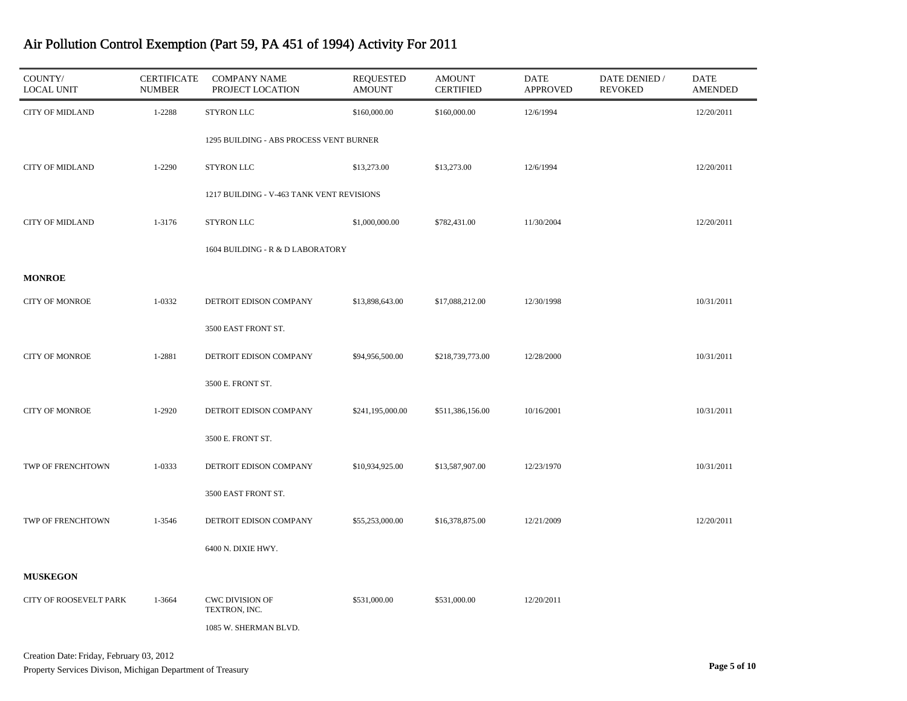| COUNTY/<br><b>LOCAL UNIT</b>  | <b>CERTIFICATE</b><br><b>NUMBER</b> | <b>COMPANY NAME</b><br>PROJECT LOCATION   | <b>REQUESTED</b><br><b>AMOUNT</b> | <b>AMOUNT</b><br><b>CERTIFIED</b> | <b>DATE</b><br><b>APPROVED</b> | DATE DENIED /<br><b>REVOKED</b> | DATE<br><b>AMENDED</b> |
|-------------------------------|-------------------------------------|-------------------------------------------|-----------------------------------|-----------------------------------|--------------------------------|---------------------------------|------------------------|
| <b>CITY OF MIDLAND</b>        | 1-2288                              | STYRON LLC                                | \$160,000.00                      | \$160,000.00                      | 12/6/1994                      |                                 | 12/20/2011             |
|                               |                                     | 1295 BUILDING - ABS PROCESS VENT BURNER   |                                   |                                   |                                |                                 |                        |
| <b>CITY OF MIDLAND</b>        | 1-2290                              | STYRON LLC                                | \$13,273.00                       | \$13,273.00                       | 12/6/1994                      |                                 | 12/20/2011             |
|                               |                                     | 1217 BUILDING - V-463 TANK VENT REVISIONS |                                   |                                   |                                |                                 |                        |
| <b>CITY OF MIDLAND</b>        | 1-3176                              | <b>STYRON LLC</b>                         | \$1,000,000.00                    | \$782,431.00                      | 11/30/2004                     |                                 | 12/20/2011             |
|                               |                                     | 1604 BUILDING - R & D LABORATORY          |                                   |                                   |                                |                                 |                        |
| <b>MONROE</b>                 |                                     |                                           |                                   |                                   |                                |                                 |                        |
| <b>CITY OF MONROE</b>         | 1-0332                              | DETROIT EDISON COMPANY                    | \$13,898,643.00                   | \$17,088,212.00                   | 12/30/1998                     |                                 | 10/31/2011             |
|                               |                                     | 3500 EAST FRONT ST.                       |                                   |                                   |                                |                                 |                        |
| <b>CITY OF MONROE</b>         | 1-2881                              | DETROIT EDISON COMPANY                    | \$94,956,500.00                   | \$218,739,773.00                  | 12/28/2000                     |                                 | 10/31/2011             |
|                               |                                     | 3500 E. FRONT ST.                         |                                   |                                   |                                |                                 |                        |
| <b>CITY OF MONROE</b>         | 1-2920                              | DETROIT EDISON COMPANY                    | \$241,195,000.00                  | \$511,386,156.00                  | 10/16/2001                     |                                 | 10/31/2011             |
|                               |                                     | 3500 E. FRONT ST.                         |                                   |                                   |                                |                                 |                        |
| TWP OF FRENCHTOWN             | 1-0333                              | DETROIT EDISON COMPANY                    | \$10,934,925.00                   | \$13,587,907.00                   | 12/23/1970                     |                                 | 10/31/2011             |
|                               |                                     | 3500 EAST FRONT ST.                       |                                   |                                   |                                |                                 |                        |
| TWP OF FRENCHTOWN             | 1-3546                              | DETROIT EDISON COMPANY                    | \$55,253,000.00                   | \$16,378,875.00                   | 12/21/2009                     |                                 | 12/20/2011             |
|                               |                                     | 6400 N. DIXIE HWY.                        |                                   |                                   |                                |                                 |                        |
| <b>MUSKEGON</b>               |                                     |                                           |                                   |                                   |                                |                                 |                        |
| <b>CITY OF ROOSEVELT PARK</b> | 1-3664                              | <b>CWC DIVISION OF</b><br>TEXTRON, INC.   | \$531,000.00                      | \$531,000.00                      | 12/20/2011                     |                                 |                        |
|                               |                                     | 1085 W. SHERMAN BLVD.                     |                                   |                                   |                                |                                 |                        |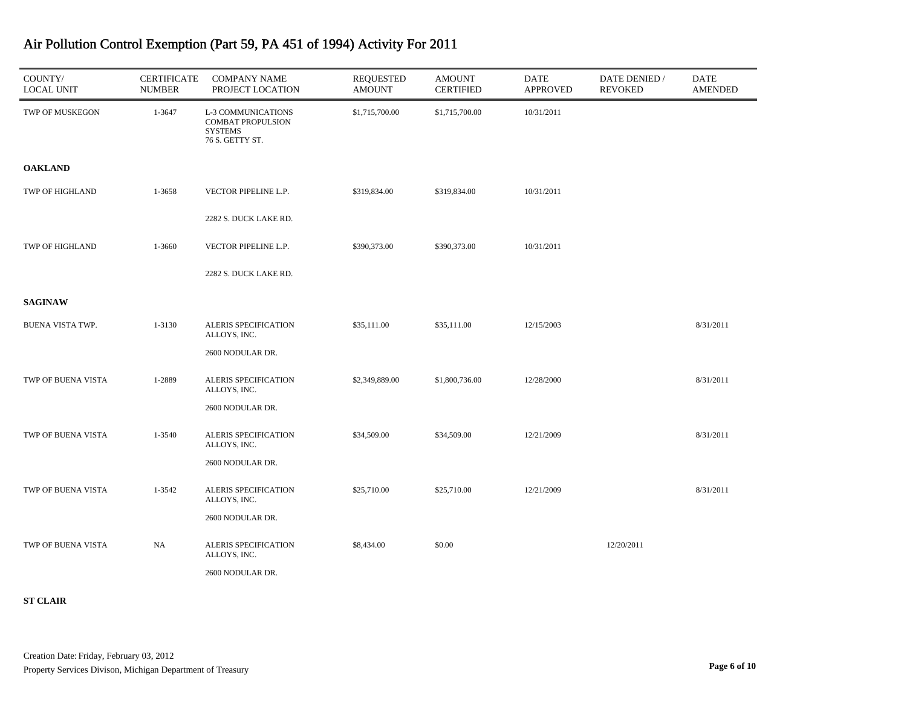| COUNTY/<br><b>LOCAL UNIT</b> | <b>CERTIFICATE</b><br><b>NUMBER</b> | <b>COMPANY NAME</b><br>PROJECT LOCATION                                             | <b>REQUESTED</b><br><b>AMOUNT</b> | <b>AMOUNT</b><br><b>CERTIFIED</b> | DATE<br><b>APPROVED</b> | DATE DENIED /<br><b>REVOKED</b> | <b>DATE</b><br><b>AMENDED</b> |
|------------------------------|-------------------------------------|-------------------------------------------------------------------------------------|-----------------------------------|-----------------------------------|-------------------------|---------------------------------|-------------------------------|
| TWP OF MUSKEGON              | 1-3647                              | L-3 COMMUNICATIONS<br><b>COMBAT PROPULSION</b><br><b>SYSTEMS</b><br>76 S. GETTY ST. | \$1,715,700.00                    | \$1,715,700.00                    | 10/31/2011              |                                 |                               |
| <b>OAKLAND</b>               |                                     |                                                                                     |                                   |                                   |                         |                                 |                               |
| TWP OF HIGHLAND              | 1-3658                              | VECTOR PIPELINE L.P.                                                                | \$319,834.00                      | \$319,834.00                      | 10/31/2011              |                                 |                               |
|                              |                                     | 2282 S. DUCK LAKE RD.                                                               |                                   |                                   |                         |                                 |                               |
| TWP OF HIGHLAND              | 1-3660                              | VECTOR PIPELINE L.P.                                                                | \$390,373.00                      | \$390,373.00                      | 10/31/2011              |                                 |                               |
|                              |                                     | 2282 S. DUCK LAKE RD.                                                               |                                   |                                   |                         |                                 |                               |
| <b>SAGINAW</b>               |                                     |                                                                                     |                                   |                                   |                         |                                 |                               |
| <b>BUENA VISTA TWP.</b>      | 1-3130                              | ALERIS SPECIFICATION<br>ALLOYS, INC.                                                | \$35,111.00                       | \$35,111.00                       | 12/15/2003              |                                 | 8/31/2011                     |
|                              |                                     | 2600 NODULAR DR.                                                                    |                                   |                                   |                         |                                 |                               |
| TWP OF BUENA VISTA           | 1-2889                              | ALERIS SPECIFICATION<br>ALLOYS, INC.                                                | \$2,349,889.00                    | \$1,800,736.00                    | 12/28/2000              |                                 | 8/31/2011                     |
|                              |                                     | 2600 NODULAR DR.                                                                    |                                   |                                   |                         |                                 |                               |
| TWP OF BUENA VISTA           | 1-3540                              | ALERIS SPECIFICATION<br>ALLOYS, INC.                                                | \$34,509.00                       | \$34,509.00                       | 12/21/2009              |                                 | 8/31/2011                     |
|                              |                                     | 2600 NODULAR DR.                                                                    |                                   |                                   |                         |                                 |                               |
| TWP OF BUENA VISTA           | 1-3542                              | ALERIS SPECIFICATION<br>ALLOYS, INC.                                                | \$25,710.00                       | \$25,710.00                       | 12/21/2009              |                                 | 8/31/2011                     |
|                              |                                     | 2600 NODULAR DR.                                                                    |                                   |                                   |                         |                                 |                               |
| TWP OF BUENA VISTA           | NA                                  | ALERIS SPECIFICATION<br>ALLOYS, INC.                                                | \$8,434.00                        | \$0.00                            |                         | 12/20/2011                      |                               |
|                              |                                     | 2600 NODULAR DR.                                                                    |                                   |                                   |                         |                                 |                               |

**ST CLAIR**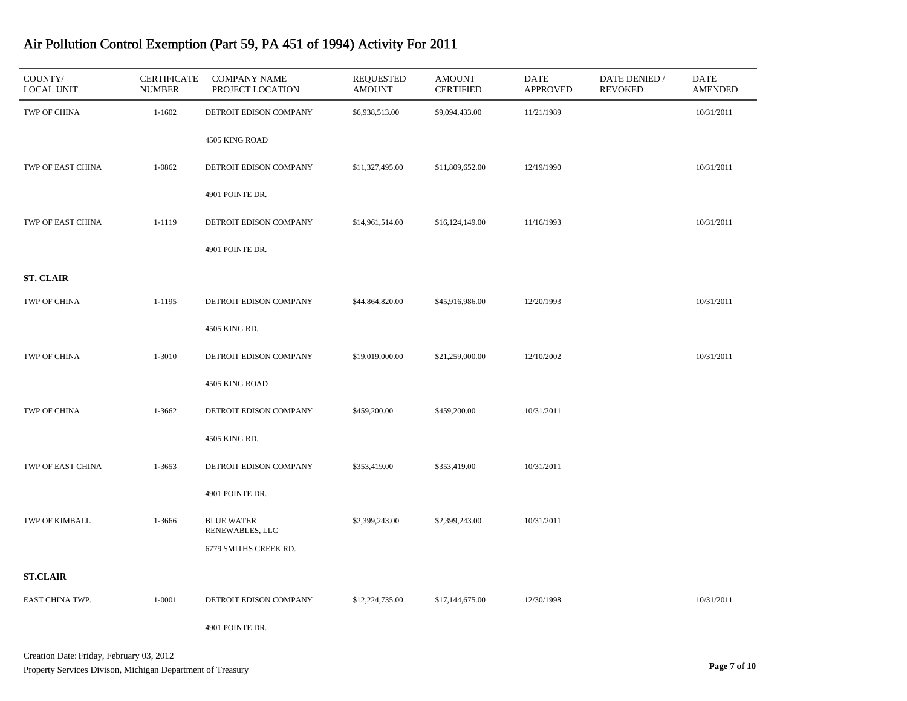| COUNTY/<br><b>LOCAL UNIT</b> | <b>CERTIFICATE</b><br><b>NUMBER</b> | <b>COMPANY NAME</b><br>PROJECT LOCATION | <b>REQUESTED</b><br><b>AMOUNT</b> | <b>AMOUNT</b><br><b>CERTIFIED</b> | DATE<br><b>APPROVED</b> | DATE DENIED /<br><b>REVOKED</b> | <b>DATE</b><br><b>AMENDED</b> |
|------------------------------|-------------------------------------|-----------------------------------------|-----------------------------------|-----------------------------------|-------------------------|---------------------------------|-------------------------------|
| TWP OF CHINA                 | $1 - 1602$                          | DETROIT EDISON COMPANY                  | \$6,938,513.00                    | \$9,094,433.00                    | 11/21/1989              |                                 | 10/31/2011                    |
|                              |                                     | 4505 KING ROAD                          |                                   |                                   |                         |                                 |                               |
| TWP OF EAST CHINA            | 1-0862                              | DETROIT EDISON COMPANY                  | \$11,327,495.00                   | \$11,809,652.00                   | 12/19/1990              |                                 | 10/31/2011                    |
|                              |                                     | 4901 POINTE DR.                         |                                   |                                   |                         |                                 |                               |
| TWP OF EAST CHINA            | 1-1119                              | DETROIT EDISON COMPANY                  | \$14,961,514.00                   | \$16,124,149.00                   | 11/16/1993              |                                 | 10/31/2011                    |
|                              |                                     | 4901 POINTE DR.                         |                                   |                                   |                         |                                 |                               |
| <b>ST. CLAIR</b>             |                                     |                                         |                                   |                                   |                         |                                 |                               |
| TWP OF CHINA                 | 1-1195                              | DETROIT EDISON COMPANY                  | \$44,864,820.00                   | \$45,916,986.00                   | 12/20/1993              |                                 | 10/31/2011                    |
|                              |                                     | 4505 KING RD.                           |                                   |                                   |                         |                                 |                               |
| TWP OF CHINA                 | 1-3010                              | DETROIT EDISON COMPANY                  | \$19,019,000.00                   | \$21,259,000.00                   | 12/10/2002              |                                 | 10/31/2011                    |
|                              |                                     | 4505 KING ROAD                          |                                   |                                   |                         |                                 |                               |
| TWP OF CHINA                 | 1-3662                              | DETROIT EDISON COMPANY                  | \$459,200.00                      | \$459,200.00                      | 10/31/2011              |                                 |                               |
|                              |                                     | 4505 KING RD.                           |                                   |                                   |                         |                                 |                               |
| TWP OF EAST CHINA            | 1-3653                              | DETROIT EDISON COMPANY                  | \$353,419.00                      | \$353,419.00                      | 10/31/2011              |                                 |                               |
|                              |                                     | 4901 POINTE DR.                         |                                   |                                   |                         |                                 |                               |
| TWP OF KIMBALL               | 1-3666                              | <b>BLUE WATER</b><br>RENEWABLES, LLC    | \$2,399,243.00                    | \$2,399,243.00                    | 10/31/2011              |                                 |                               |
|                              |                                     | 6779 SMITHS CREEK RD.                   |                                   |                                   |                         |                                 |                               |
| <b>ST.CLAIR</b>              |                                     |                                         |                                   |                                   |                         |                                 |                               |
| EAST CHINA TWP.              | 1-0001                              | DETROIT EDISON COMPANY                  | \$12,224,735.00                   | \$17,144,675.00                   | 12/30/1998              |                                 | 10/31/2011                    |
|                              |                                     | 4901 POINTE DR.                         |                                   |                                   |                         |                                 |                               |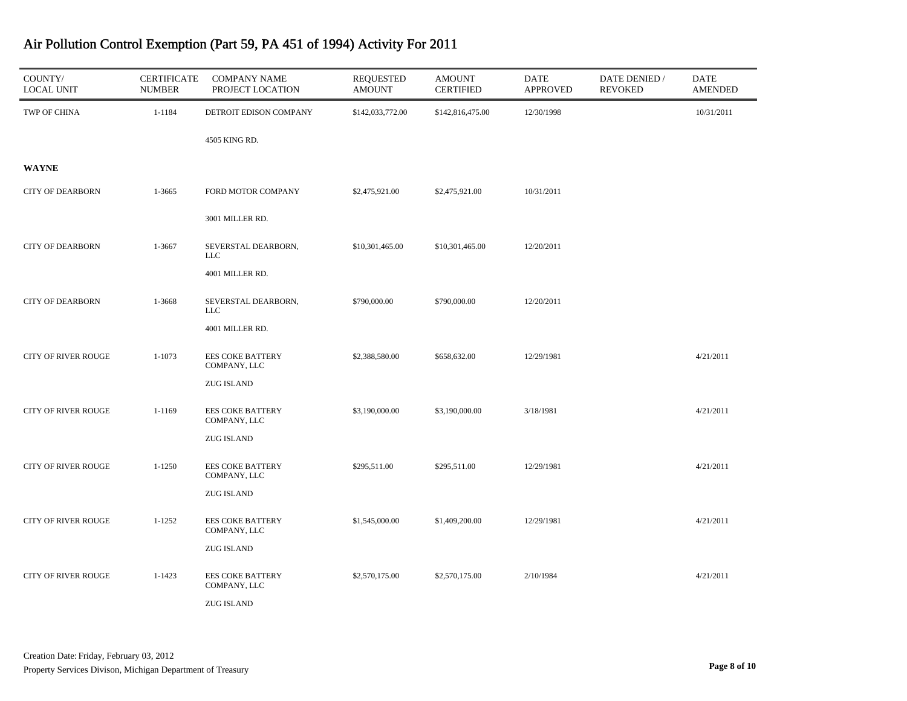| COUNTY/<br><b>LOCAL UNIT</b> | <b>CERTIFICATE</b><br><b>NUMBER</b> | <b>COMPANY NAME</b><br>PROJECT LOCATION | <b>REQUESTED</b><br><b>AMOUNT</b> | <b>AMOUNT</b><br><b>CERTIFIED</b> | <b>DATE</b><br><b>APPROVED</b> | DATE DENIED /<br><b>REVOKED</b> | <b>DATE</b><br><b>AMENDED</b> |
|------------------------------|-------------------------------------|-----------------------------------------|-----------------------------------|-----------------------------------|--------------------------------|---------------------------------|-------------------------------|
| TWP OF CHINA                 | 1-1184                              | DETROIT EDISON COMPANY                  | \$142,033,772.00                  | \$142,816,475.00                  | 12/30/1998                     |                                 | 10/31/2011                    |
|                              |                                     | 4505 KING RD.                           |                                   |                                   |                                |                                 |                               |
| <b>WAYNE</b>                 |                                     |                                         |                                   |                                   |                                |                                 |                               |
| <b>CITY OF DEARBORN</b>      | 1-3665                              | FORD MOTOR COMPANY                      | \$2,475,921.00                    | \$2,475,921.00                    | 10/31/2011                     |                                 |                               |
|                              |                                     | 3001 MILLER RD.                         |                                   |                                   |                                |                                 |                               |
| <b>CITY OF DEARBORN</b>      | 1-3667                              | SEVERSTAL DEARBORN,<br><b>LLC</b>       | \$10,301,465.00                   | \$10,301,465.00                   | 12/20/2011                     |                                 |                               |
|                              |                                     | 4001 MILLER RD.                         |                                   |                                   |                                |                                 |                               |
| <b>CITY OF DEARBORN</b>      | 1-3668                              | SEVERSTAL DEARBORN,<br><b>LLC</b>       | \$790,000.00                      | \$790,000.00                      | 12/20/2011                     |                                 |                               |
|                              |                                     | 4001 MILLER RD.                         |                                   |                                   |                                |                                 |                               |
| <b>CITY OF RIVER ROUGE</b>   | $1 - 1073$                          | <b>EES COKE BATTERY</b><br>COMPANY, LLC | \$2,388,580.00                    | \$658,632.00                      | 12/29/1981                     |                                 | 4/21/2011                     |
|                              |                                     | <b>ZUG ISLAND</b>                       |                                   |                                   |                                |                                 |                               |
| <b>CITY OF RIVER ROUGE</b>   | $1 - 1169$                          | <b>EES COKE BATTERY</b><br>COMPANY, LLC | \$3,190,000.00                    | \$3,190,000.00                    | 3/18/1981                      |                                 | 4/21/2011                     |
|                              |                                     | <b>ZUG ISLAND</b>                       |                                   |                                   |                                |                                 |                               |
| <b>CITY OF RIVER ROUGE</b>   | $1 - 1250$                          | <b>EES COKE BATTERY</b><br>COMPANY, LLC | \$295,511.00                      | \$295,511.00                      | 12/29/1981                     |                                 | 4/21/2011                     |
|                              |                                     | <b>ZUG ISLAND</b>                       |                                   |                                   |                                |                                 |                               |
| <b>CITY OF RIVER ROUGE</b>   | $1 - 1252$                          | <b>EES COKE BATTERY</b><br>COMPANY, LLC | \$1,545,000.00                    | \$1,409,200.00                    | 12/29/1981                     |                                 | 4/21/2011                     |
|                              |                                     | <b>ZUG ISLAND</b>                       |                                   |                                   |                                |                                 |                               |
| <b>CITY OF RIVER ROUGE</b>   | $1 - 1423$                          | <b>EES COKE BATTERY</b><br>COMPANY, LLC | \$2,570,175.00                    | \$2,570,175.00                    | 2/10/1984                      |                                 | 4/21/2011                     |
|                              |                                     | <b>ZUG ISLAND</b>                       |                                   |                                   |                                |                                 |                               |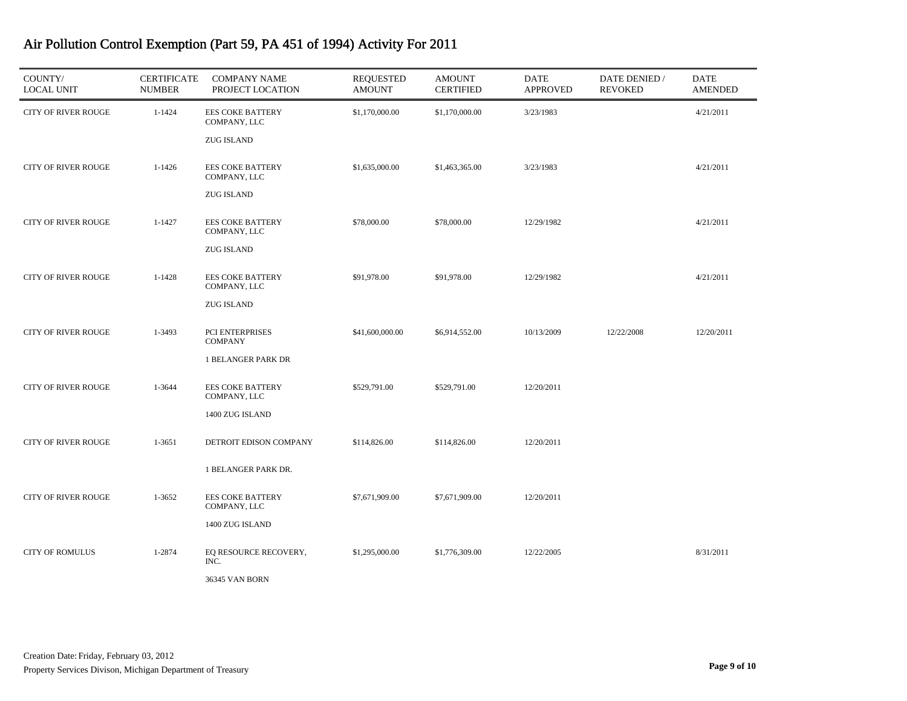| COUNTY/<br><b>LOCAL UNIT</b> | <b>CERTIFICATE</b><br><b>NUMBER</b> | <b>COMPANY NAME</b><br>PROJECT LOCATION | <b>REQUESTED</b><br><b>AMOUNT</b> | <b>AMOUNT</b><br><b>CERTIFIED</b> | DATE<br><b>APPROVED</b> | DATE DENIED /<br><b>REVOKED</b> | DATE<br><b>AMENDED</b> |
|------------------------------|-------------------------------------|-----------------------------------------|-----------------------------------|-----------------------------------|-------------------------|---------------------------------|------------------------|
| <b>CITY OF RIVER ROUGE</b>   | $1 - 1424$                          | <b>EES COKE BATTERY</b><br>COMPANY, LLC | \$1,170,000.00                    | \$1,170,000.00                    | 3/23/1983               |                                 | 4/21/2011              |
|                              |                                     | <b>ZUG ISLAND</b>                       |                                   |                                   |                         |                                 |                        |
| <b>CITY OF RIVER ROUGE</b>   | $1 - 1426$                          | <b>EES COKE BATTERY</b><br>COMPANY, LLC | \$1,635,000.00                    | \$1,463,365.00                    | 3/23/1983               |                                 | 4/21/2011              |
|                              |                                     | <b>ZUG ISLAND</b>                       |                                   |                                   |                         |                                 |                        |
| <b>CITY OF RIVER ROUGE</b>   | $1 - 1427$                          | <b>EES COKE BATTERY</b><br>COMPANY, LLC | \$78,000.00                       | \$78,000.00                       | 12/29/1982              |                                 | 4/21/2011              |
|                              |                                     | <b>ZUG ISLAND</b>                       |                                   |                                   |                         |                                 |                        |
| <b>CITY OF RIVER ROUGE</b>   | $1 - 1428$                          | <b>EES COKE BATTERY</b><br>COMPANY, LLC | \$91,978.00                       | \$91,978.00                       | 12/29/1982              |                                 | 4/21/2011              |
|                              |                                     | <b>ZUG ISLAND</b>                       |                                   |                                   |                         |                                 |                        |
| <b>CITY OF RIVER ROUGE</b>   | 1-3493                              | PCI ENTERPRISES<br><b>COMPANY</b>       | \$41,600,000.00                   | \$6,914,552.00                    | 10/13/2009              | 12/22/2008                      | 12/20/2011             |
|                              |                                     | <b>1 BELANGER PARK DR</b>               |                                   |                                   |                         |                                 |                        |
| <b>CITY OF RIVER ROUGE</b>   | 1-3644                              | <b>EES COKE BATTERY</b><br>COMPANY, LLC | \$529,791.00                      | \$529,791.00                      | 12/20/2011              |                                 |                        |
|                              |                                     | 1400 ZUG ISLAND                         |                                   |                                   |                         |                                 |                        |
| <b>CITY OF RIVER ROUGE</b>   | $1 - 3651$                          | DETROIT EDISON COMPANY                  | \$114,826.00                      | \$114,826.00                      | 12/20/2011              |                                 |                        |
|                              |                                     | 1 BELANGER PARK DR.                     |                                   |                                   |                         |                                 |                        |
| <b>CITY OF RIVER ROUGE</b>   | $1 - 3652$                          | <b>EES COKE BATTERY</b><br>COMPANY, LLC | \$7,671,909.00                    | \$7,671,909.00                    | 12/20/2011              |                                 |                        |
|                              |                                     | 1400 ZUG ISLAND                         |                                   |                                   |                         |                                 |                        |
| <b>CITY OF ROMULUS</b>       | 1-2874                              | EQ RESOURCE RECOVERY,<br>INC.           | \$1,295,000.00                    | \$1,776,309.00                    | 12/22/2005              |                                 | 8/31/2011              |
|                              |                                     | <b>36345 VAN BORN</b>                   |                                   |                                   |                         |                                 |                        |